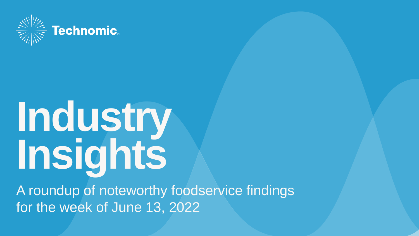

# **Industry Insights**

A roundup of noteworthy foodservice findings for the week of June 13, 2022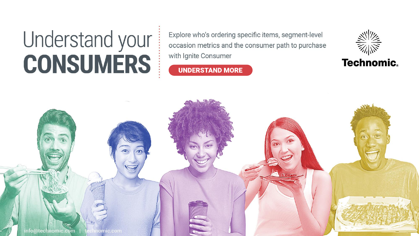# Understand your **CONSUMERS**

Explore who's ordering specific items, segment-level occasion metrics and the consumer path to purchase with Ignite Consumer

# **UNDERSTAND MORE**



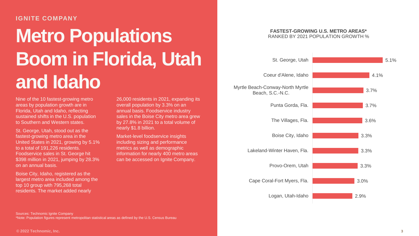#### **IGNITE COMPANY**

# **Metro Populations Boom in Florida, Utah and Idaho**

Nine of the 10 fastest-growing metro areas by population growth are in Florida, Utah and Idaho, reflecting sustained shifts in the U.S. population to Southern and Western states.

St. George, Utah, stood out as the fastest-growing metro area in the United States in 2021, growing by 5.1% to a total of 191,226 residents. Foodservice sales in St. George hit \$398 million in 2021, jumping by 28.3% on an annual basis.

Boise City, Idaho, registered as the largest metro area included among the top 10 group with 795,268 total residents. The market added nearly

26,000 residents in 2021, expanding its overall population by 3.3% on an annual basis. Foodservice industry sales in the Boise City metro area grew by 27.8% in 2021 to a total volume of nearly \$1.8 billion.

Market-level foodservice insights including sizing and performance metrics as well as demographic information for nearly 400 metro areas can be accessed on Ignite Company.



Coeur d'Alene, Idaho

St. George, Utah



**FASTEST-GROWING U.S. METRO AREAS\*** RANKED BY 2021 POPULATION GROWTH %

Sources: Technomic Ignite Company \*Note: Population figures represent metropolitan statistical areas as defined by the U.S. Census Bureau 5.1%

4.1%

3.7%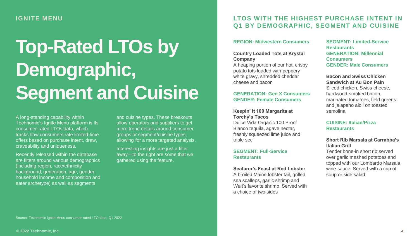### **IGNITE MENU**

# **Top-Rated LTOs by Demographic, Segment and Cuisine**

A long-standing capability within Technomic's Ignite Menu platform is its consumer-rated LTOs data, which tracks how consumers rate limited-time offers based on purchase intent, draw, craveability and uniqueness.

Recently released within the database are filters around various demographics (including region, race/ethnicity background, generation, age, gender, household income and composition and eater archetype) as well as segments

and cuisine types. These breakouts allow operators and suppliers to get more trend details around consumer groups or segment/cuisine types, allowing for a more targeted analysis.

Interesting insights are just a filter away—to the right are some that we gathered using the feature.

### **LTOS WITH THE HIGHEST PURCHASE INTENT IN Q1 BY DEMOGRAPHIC, SEGMENT AND CUISINE**

#### **REGION: Midwestern Consumers**

#### **Country Loaded Tots at Krystal Company**

A heaping portion of our hot, crispy potato tots loaded with peppery white gravy, shredded cheddar cheese and bacon

#### **GENERATION: Gen X Consumers GENDER: Female Consumers**

**Keepin' It 100 Margarita at Torchy's Tacos**  Dulce Vida Organic 100 Proof

Blanco tequila, agave nectar, freshly squeezed lime juice and triple sec

#### **SEGMENT: Full-Service Restaurants**

**Seafarer's Feast at Red Lobster** A broiled Maine lobster tail, grilled

sea scallops, garlic shrimp and Walt's favorite shrimp. Served with a choice of two sides

**SEGMENT: Limited-Service Restaurants GENERATION: Millennial Consumers GENDER: Male Consumers**

**Bacon and Swiss Chicken Sandwich at Au Bon Pain**  Sliced chicken, Swiss cheese, hardwood-smoked bacon, marinated tomatoes, field greens and jalapeno aioli on toasted semolina

#### **CUISINE: Italian/Pizza Restaurants**

#### **Short Rib Marsala at Carrabba's Italian Grill**

Tender bone-in short rib served over garlic mashed potatoes and topped with our Lombardo Marsala wine sauce. Served with a cup of soup or side salad

Source: Technomic Ignite Menu consumer-rated LTO data, Q1 2022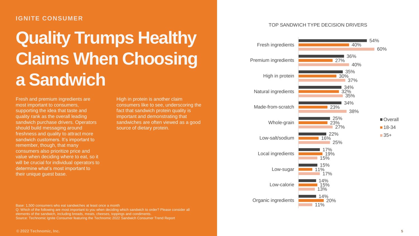#### **IGNITE CONSUMER**

# **Quality Trumps Healthy Claims When Choosing a Sandwich**

Fresh and premium ingredients are most important to consumers, supporting the idea that taste and quality rank as the overall leading sandwich purchase drivers. Operators should build messaging around freshness and quality to attract more sandwich customers. It's important to remember, though, that many consumers also prioritize price and value when deciding where to eat, so it will be crucial for individual operators to determine what's most important to their unique guest base.

High in protein is another claim consumers like to see, underscoring the fact that sandwich protein quality is important and demonstrating that sandwiches are often viewed as a good source of dietary protein.

Base: 1,500 consumers who eat sandwiches at least once a month Q: Which of the following are most important to you when deciding which sandwich to order? Please consider all elements of the sandwich, including breads, meats, cheeses, toppings and condiments. Source: Technomic Ignite Consumer featuring the Technomic 2022 Sandwich Consumer Trend Report

#### TOP SANDWICH TYPE DECISION DRIVERS

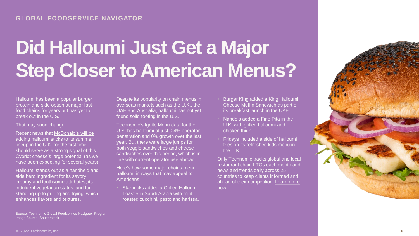# **Did Halloumi Just Get a Major Step Closer to American Menus?**

Halloumi has been a popular burger protein and side option at major fastfood chains for years but has yet to break out in the U.S.

That may soon change.

Recent news that McDonald's will be [adding halloumi sticks to its summer](https://metro.co.uk/2022/06/07/mcdonalds-launches-summer-menu-with-new-burgers-and-halloumi-fries-16782679/)  lineup in the U.K. for the first time should serve as a strong signal of this Cypriot cheese's large potential (as we have been [expecting](https://www.technomic.com/newsroom/2022-global-restaurant-trends-forecast) for [several](https://www.technomic.com/technomics-take/technomics-take-4-global-trends-2019) [years\)](https://info.technomic.com/rs/561-ZNP-897/images/technomic-5-%20Key-Trends-global.pdf).

Halloumi stands out as a handheld and side hero ingredient for its savory, creamy and toothsome attributes; its indulgent vegetarian status; and for standing up to grilling and frying, which enhances flavors and textures.

Source: Technomic Global Foodservice Navigator Program Image Source: Shutterstock

Despite its popularity on chain menus in overseas markets such as the U.K., the UAE and Australia, halloumi has not yet found solid footing in the U.S.

Technomic's Ignite Menu data for the U.S. has halloumi at just 0.4% operator penetration and 0% growth over the last year. But there were large jumps for both veggie sandwiches and cheese sandwiches over this period, which is in line with current operator use abroad.

Here's how some major chains menu halloumi in ways that may appeal to Americans:

• Starbucks added a Grilled Halloumi Toastie in Saudi Arabia with mint, roasted zucchini, pesto and harissa.

- Burger King added a King Halloumi Cheese Muffin Sandwich as part of its breakfast launch in the UAE.
- Nando's added a Fino Pita in the U.K. with grilled halloumi and chicken thigh.
- Fridays included a side of halloumi fries on its refreshed kids menu in the U.K.

Only Technomic tracks global and local restaurant chain LTOs each month and news and trends daily across 25 countries to keep clients informed and [ahead of their competition. Learn more](https://www.technomic.com/global-foodservice-navigator-program)  now.